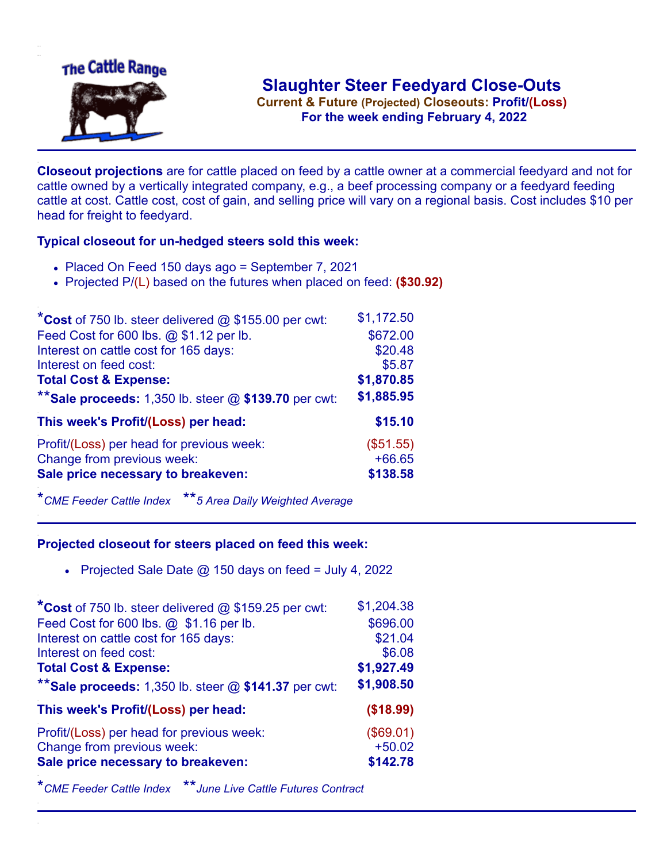

**Current & Future (Projected) Closeouts: Profit/(Loss)** .**For the week ending February 4, 2022**

**Closeout projections** are for cattle placed on feed by a cattle owner at a commercial feedyard and not for cattle owned by a vertically integrated company, e.g., a beef processing company or a feedyard feeding cattle at cost. Cattle cost, cost of gain, and selling price will vary on a regional basis. Cost includes \$10 per head for freight to feedyard.

## **Typical closeout for un-hedged steers sold this week:**

- Placed On Feed 150 days ago = September 7, 2021
- Projected P/(L) based on the futures when placed on feed: **(\$30.92)**

| *Cost of 750 lb. steer delivered $@$ \$155.00 per cwt:  | \$1,172.50 |
|---------------------------------------------------------|------------|
| Feed Cost for 600 lbs. @ \$1.12 per lb.                 | \$672.00   |
| Interest on cattle cost for 165 days:                   | \$20.48    |
| Interest on feed cost:                                  | \$5.87     |
| <b>Total Cost &amp; Expense:</b>                        | \$1,870.85 |
| ** Sale proceeds: 1,350 lb. steer $@$ \$139.70 per cwt: | \$1,885.95 |
| This week's Profit/(Loss) per head:                     | \$15.10    |
| Profit/(Loss) per head for previous week:               | (\$51.55)  |
| Change from previous week:                              | $+66.65$   |
| Sale price necessary to breakeven:                      | \$138.58   |

\**CME Feeder Cattle Index* \*\**5 Area Daily Weighted Average*

## **Projected closeout for steers placed on feed this week:**

• Projected Sale Date  $\omega$  150 days on feed = July 4, 2022

| *Cost of 750 lb. steer delivered @ \$159.25 per cwt:    | \$1,204.38 |
|---------------------------------------------------------|------------|
| Feed Cost for 600 lbs. @ \$1.16 per lb.                 | \$696.00   |
| Interest on cattle cost for 165 days:                   | \$21.04    |
| Interest on feed cost:                                  | \$6.08     |
| <b>Total Cost &amp; Expense:</b>                        | \$1,927.49 |
| ** Sale proceeds: 1,350 lb. steer $@$ \$141.37 per cwt: | \$1,908.50 |
| This week's Profit/(Loss) per head:                     | (\$18.99)  |
| Profit/(Loss) per head for previous week:               | (\$69.01)  |
| Change from previous week:                              | $+50.02$   |
| Sale price necessary to breakeven:                      | \$142.78   |

\**CME Feeder Cattle Index* \*\**June Live Cattle Futures Contract*